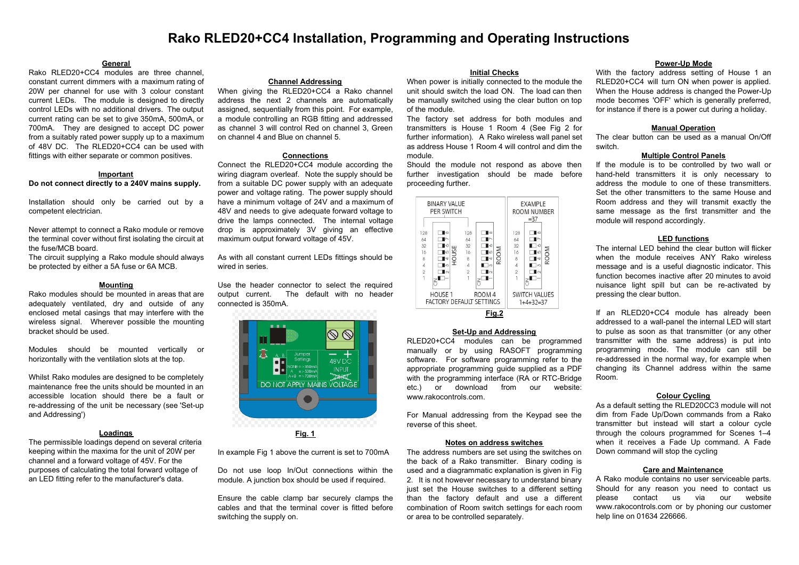# **Rako RLED20+CC4 Installation, Programming and Operating Instructions**

## **General**

Rako RLED20+CC4 modules are three channel, constant current dimmers with a maximum rating of 20W per channel for use with 3 colour constant current LEDs. The module is designed to directly control LEDs with no additional drivers. The output current rating can be set to give 350mA, 500mA, or 700mA. They are designed to accept DC power from a suitably rated power supply up to a maximum of 48V DC. The RLED20+CC4 can be used with fittings with either separate or common positives.

#### **Important**

## **Do not connect directly to a 240V mains supply.**

Installation should only be carried out by a competent electrician.

Never attempt to connect a Rako module or remove the terminal cover without first isolating the circuit at the fuse/MCB board.

The circuit supplying a Rako module should always be protected by either a 5A fuse or 6A MCB.

## **Mounting**

Rako modules should be mounted in areas that are adequately ventilated, dry and outside of any enclosed metal casings that may interfere with the wireless signal. Wherever possible the mounting bracket should be used.

Modules should be mounted vertically or horizontally with the ventilation slots at the top.

Whilst Rako modules are designed to be completely maintenance free the units should be mounted in an accessible location should there be a fault or re-addressing of the unit be necessary (see 'Set-up and Addressing')

## **Loadings**

The permissible loadings depend on several criteria keeping within the maxima for the unit of 20W per channel and a forward voltage of 45V. For the purposes of calculating the total forward voltage of an LED fitting refer to the manufacturer's data.

#### **Channel Addressing**

When giving the RLED20+CC4 a Rako channel address the next 2 channels are automatically assigned, sequentially from this point. For example, a module controlling an RGB fitting and addressed as channel 3 will control Red on channel 3, Green on channel 4 and Blue on channel 5.

#### **Connections**

Connect the RLED20+CC4 module according the wiring diagram overleaf. Note the supply should be from a suitable DC power supply with an adequate power and voltage rating. The power supply should have a minimum voltage of 24V and a maximum of 48V and needs to give adequate forward voltage to drive the lamps connected. The internal voltage drop is approximately 3V giving an effective maximum output forward voltage of 45V.

As with all constant current LEDs fittings should be wired in series.

Use the header connector to select the required output current. The default with no header connected is 350mA.



In example Fig 1 above the current is set to 700mA

Do not use loop In/Out connections within the module. A junction box should be used if required.

Ensure the cable clamp bar securely clamps the cables and that the terminal cover is fitted before switching the supply on.

## **Initial Checks**

When power is initially connected to the module the unit should switch the load ON. The load can then be manually switched using the clear button on top of the module.

The factory set address for both modules and transmitters is House 1 Room 4 (See Fig 2 for further information). A Rako wireless wall panel set as address House 1 Room 4 will control and dim the module.

Should the module not respond as above then further investigation should be made before proceeding further.

| <b>BINARY VALUE</b><br>PER SWITCH                                          |                                                             |                                                          |                                                                |       | <b>EXAMPLE</b><br>ROOM NUMBER<br>$= 37$                        |                                                       |  |
|----------------------------------------------------------------------------|-------------------------------------------------------------|----------------------------------------------------------|----------------------------------------------------------------|-------|----------------------------------------------------------------|-------------------------------------------------------|--|
| 128<br>64<br>32<br>16<br>8<br>$\Delta$<br>$\overline{2}$<br>$\overline{1}$ | ∎∞<br>ш<br>S<br>lu)<br>읖<br>l⊲<br>ll co<br>$\mathsf{I}\cap$ | 128<br>64<br>32<br>16<br>8<br>$\Delta$<br>$\overline{2}$ | lω<br>∎ம<br>౹ব<br>$\Box$ m<br>$\mathsf{I}\scriptstyle{\wedge}$ | ROOM  | 128<br>64<br>32<br>16<br>8<br>$\overline{A}$<br>$\overline{2}$ | ∎∞<br>Ó<br>ROOM<br>l LO<br>I≂<br>Πω<br>$\blacksquare$ |  |
|                                                                            | HOUSE <sub>1</sub><br><b>FACTORY DEFAULT SETTINGS</b>       |                                                          | ROOM <sub>4</sub>                                              |       |                                                                | <b>SWITCH VALUES</b><br>$1+4+32=37$                   |  |
|                                                                            |                                                             |                                                          |                                                                | Ei~ ^ |                                                                |                                                       |  |

**Fig.2**

## **Set-Up and Addressing**

RLED20+CC4 modules can be programmed manually or by using RASOFT programming software. For software programming refer to the appropriate programming guide supplied as a PDF with the programming interface (RA or RTC-Bridge etc.) or download from our website: www.rakocontrols.com.

For Manual addressing from the Keypad see the reverse of this sheet.

#### **Notes on address switches**

The address numbers are set using the switches on the back of a Rako transmitter. Binary coding is used and a diagrammatic explanation is given in Fig. 2. It is not however necessary to understand binary just set the House switches to a different setting than the factory default and use a different combination of Room switch settings for each room or area to be controlled separately.

#### **Power-Up Mode**

With the factory address setting of House 1 an RLED20+CC4 will turn ON when power is applied. When the House address is changed the Power-Up mode becomes 'OFF' which is generally preferred, for instance if there is a power cut during a holiday.

#### **Manual Operation**

The clear button can be used as a manual On/Off switch.

## **Multiple Control Panels**

If the module is to be controlled by two wall or hand-held transmitters it is only necessary to address the module to one of these transmitters. Set the other transmitters to the same House and Room address and they will transmit exactly the same message as the first transmitter and the module will respond accordingly.

## **LED functions**

The internal LED behind the clear button will flicker when the module receives ANY Rako wireless message and is a useful diagnostic indicator. This function becomes inactive after 20 minutes to avoid nuisance light spill but can be re-activated by pressing the clear button.

If an RLED20+CC4 module has already been addressed to a wall-panel the internal LED will start to pulse as soon as that transmitter (or any other transmitter with the same address) is put into programming mode. The module can still be re-addressed in the normal way, for example when changing its Channel address within the same Room.

## **Colour Cycling**

As a default setting the RLED20CC3 module will not dim from Fade Up/Down commands from a Rako transmitter but instead will start a colour cycle through the colours programmed for Scenes 1–4 when it receives a Fade Up command. A Fade Down command will stop the cycling

## **Care and Maintenance**

A Rako module contains no user serviceable parts. Should for any reason you need to contact us please contact us via our website www.rakocontrols.com or by phoning our customer help line on 01634 226666.